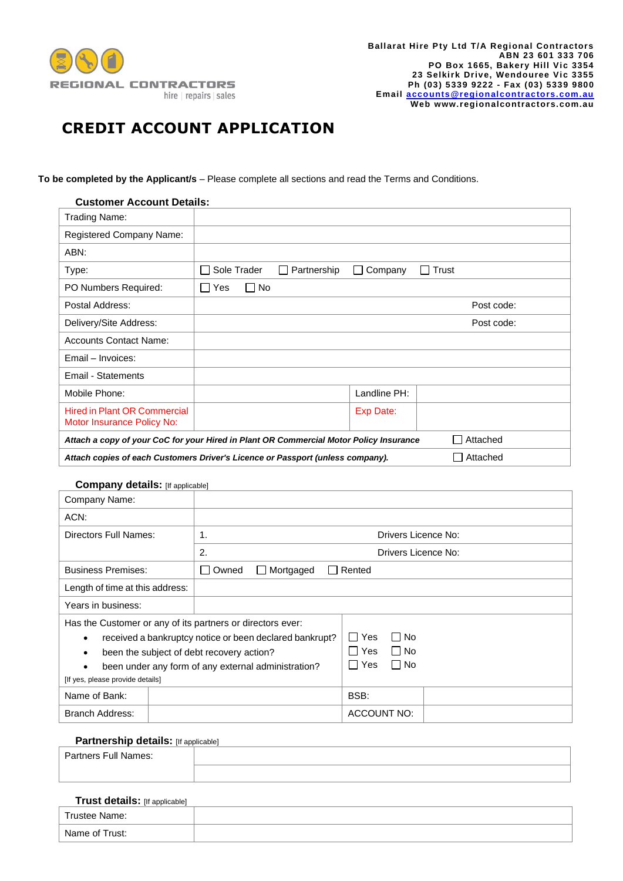

# **CREDIT ACCOUNT APPLICATION**

**To be completed by the Applicant/s** – Please complete all sections and read the Terms and Conditions.

| <b>Customer Account Details:</b>                                                                   |                                                                          |  |  |  |
|----------------------------------------------------------------------------------------------------|--------------------------------------------------------------------------|--|--|--|
| Trading Name:                                                                                      |                                                                          |  |  |  |
| <b>Registered Company Name:</b>                                                                    |                                                                          |  |  |  |
| ABN:                                                                                               |                                                                          |  |  |  |
| Type:                                                                                              | Sole Trader<br>Partnership<br>Trust<br>Company<br>$\Box$<br>$\mathbf{L}$ |  |  |  |
| PO Numbers Required:                                                                               | ∏ No<br>Yes<br>$\blacksquare$                                            |  |  |  |
| Postal Address:                                                                                    | Post code:                                                               |  |  |  |
| Delivery/Site Address:                                                                             | Post code:                                                               |  |  |  |
| <b>Accounts Contact Name:</b>                                                                      |                                                                          |  |  |  |
| Email - Invoices:                                                                                  |                                                                          |  |  |  |
| Email - Statements                                                                                 |                                                                          |  |  |  |
| Mobile Phone:                                                                                      | Landline PH:                                                             |  |  |  |
| <b>Hired in Plant OR Commercial</b><br>Motor Insurance Policy No:                                  | Exp Date:                                                                |  |  |  |
| Attached<br>Attach a copy of your CoC for your Hired in Plant OR Commercial Motor Policy Insurance |                                                                          |  |  |  |
| Attached<br>Attach copies of each Customers Driver's Licence or Passport (unless company).         |                                                                          |  |  |  |

### **Company details:** [If applicable]

| Company Name:                                              |                                                         |                               |
|------------------------------------------------------------|---------------------------------------------------------|-------------------------------|
| ACN:                                                       |                                                         |                               |
| Directors Full Names:                                      | 1.                                                      | Drivers Licence No:           |
|                                                            | 2.                                                      | Drivers Licence No:           |
| <b>Business Premises:</b>                                  | Owned<br>Mortgaged<br>$\mathsf{L}$                      | Rented                        |
| Length of time at this address:                            |                                                         |                               |
| Years in business:                                         |                                                         |                               |
| Has the Customer or any of its partners or directors ever: |                                                         |                               |
|                                                            | received a bankruptcy notice or been declared bankrupt? | l I Yes<br>l INo              |
| been the subject of debt recovery action?                  |                                                         | $\Box$ No<br><b>Yes</b>       |
|                                                            | been under any form of any external administration?     | l I No<br>Yes<br>$\mathbf{I}$ |
| [If yes, please provide details]                           |                                                         |                               |
| Name of Bank:                                              |                                                         | BSB:                          |
| Branch Address:                                            |                                                         | ACCOUNT NO:                   |

## **Partnership details:** [If applicable]

| Partners Full Names: |  |  |
|----------------------|--|--|
|                      |  |  |
|                      |  |  |

# **Trust details:** [If applicable]

| Trustee Name:  |  |
|----------------|--|
| Name of Trust: |  |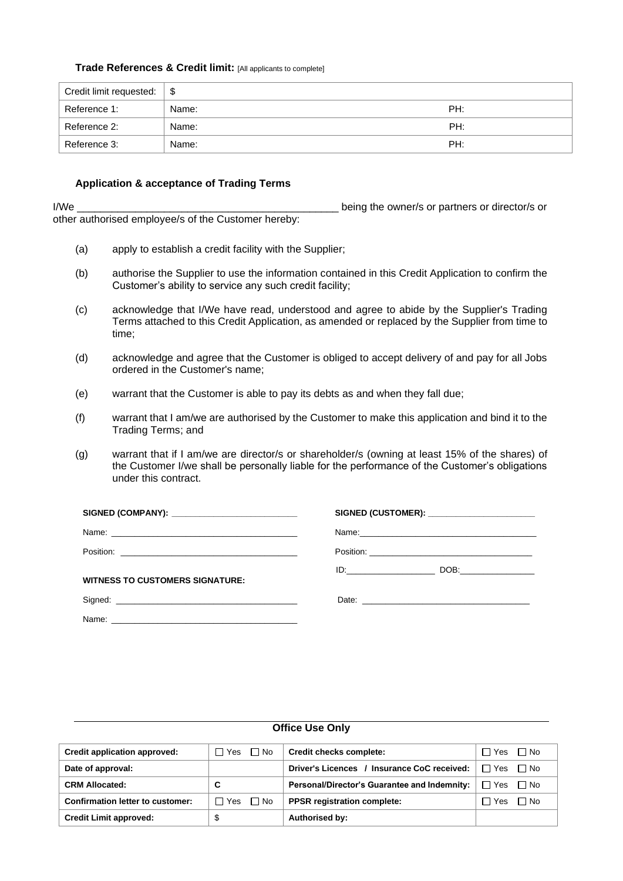#### **Trade References & Credit limit:** [All applicants to complete]

| Credit limit requested: $\frac{1}{2}$ |       |     |
|---------------------------------------|-------|-----|
| Reference 1:                          | Name: | PH: |
| Reference 2:                          | Name: | PH: |
| Reference 3:                          | Name: | PH: |

### **Application & acceptance of Trading Terms**

I/We \_\_\_\_\_\_\_\_\_\_\_\_\_\_\_\_\_\_\_\_\_\_\_\_\_\_\_\_\_\_\_\_\_\_\_\_\_\_\_\_\_\_\_\_\_ being the owner/s or partners or director/s or other authorised employee/s of the Customer hereby:

- (a) apply to establish a credit facility with the Supplier;
- (b) authorise the Supplier to use the information contained in this Credit Application to confirm the Customer's ability to service any such credit facility;
- (c) acknowledge that I/We have read, understood and agree to abide by the Supplier's Trading Terms attached to this Credit Application, as amended or replaced by the Supplier from time to time;
- (d) acknowledge and agree that the Customer is obliged to accept delivery of and pay for all Jobs ordered in the Customer's name;
- (e) warrant that the Customer is able to pay its debts as and when they fall due;
- (f) warrant that I am/we are authorised by the Customer to make this application and bind it to the Trading Terms; and
- (g) warrant that if I am/we are director/s or shareholder/s (owning at least 15% of the shares) of the Customer I/we shall be personally liable for the performance of the Customer's obligations under this contract.

| SIGNED (COMPANY): __________________________                                                                                                                                                                                  | SIGNED (CUSTOMER): ______________________ |
|-------------------------------------------------------------------------------------------------------------------------------------------------------------------------------------------------------------------------------|-------------------------------------------|
|                                                                                                                                                                                                                               |                                           |
|                                                                                                                                                                                                                               |                                           |
| <b>WITNESS TO CUSTOMERS SIGNATURE:</b>                                                                                                                                                                                        | ID: DOB:                                  |
|                                                                                                                                                                                                                               |                                           |
| Name: Name: Name: Name: Name: Name: Name: Name: Name: Name: Name: Name: Name: Name: Name: Name: Name: Name: Name: Name: Name: Name: Name: Name: Name: Name: Name: Name: Name: Name: Name: Name: Name: Name: Name: Name: Name: |                                           |

| <b>OTTICE USE UNIV</b>           |                    |                                              |                         |  |  |
|----------------------------------|--------------------|----------------------------------------------|-------------------------|--|--|
| Credit application approved:     | $\Box$ No<br>□ Yes | Credit checks complete:                      | $\Box$ No<br>□ Yes      |  |  |
| Date of approval:                |                    | Driver's Licences / Insurance CoC received:  | $\Box$ Yes<br>$\Box$ No |  |  |
| <b>CRM Allocated:</b>            | C                  | Personal/Director's Guarantee and Indemnity: | ヿ Yes<br>$\Box$ No      |  |  |
| Confirmation letter to customer: | $\Box$ No<br>∏ Yes | <b>PPSR</b> registration complete:           | $\Box$ No<br>□ Yes      |  |  |
| <b>Credit Limit approved:</b>    |                    | Authorised by:                               |                         |  |  |

# **Office Use Only**